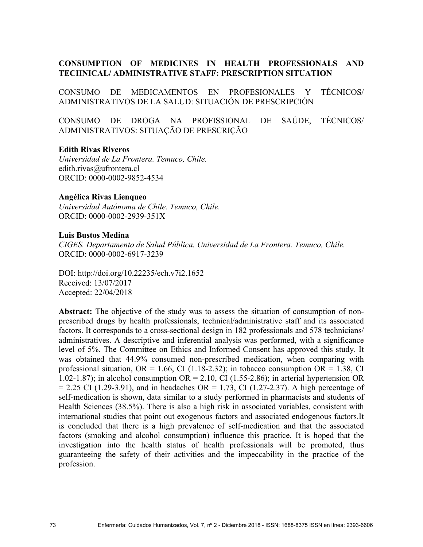# **CONSUMPTION OF MEDICINES IN HEALTH PROFESSIONALS AND TECHNICAL/ ADMINISTRATIVE STAFF: PRESCRIPTION SITUATION**

CONSUMO DE MEDICAMENTOS EN PROFESIONALES Y TÉCNICOS/ ADMINISTRATIVOS DE LA SALUD: SITUACIÓN DE PRESCRIPCIÓN

CONSUMO DE DROGA NA PROFISSIONAL DE SAÚDE, TÉCNICOS/ ADMINISTRATIVOS: SITUAÇÃO DE PRESCRIÇÃO

#### **Edith Rivas Riveros**

*Universidad de La Frontera. Temuco, Chile.*  edith.rivas@ufrontera.cl ORCID: 0000-0002-9852-4534

#### **Angélica Rivas Lienqueo**

*Universidad Autónoma de Chile. Temuco, Chile.*  ORCID: 0000-0002-2939-351X

#### **Luis Bustos Medina**

*CIGES. Departamento de Salud Pública. Universidad de La Frontera. Temuco, Chile.* ORCID: 0000-0002-6917-3239

DOI: http://doi.org/10.22235/ech.v7i2.1652 Received: 13/07/2017 Accepted: 22/04/2018

**Abstract:** The objective of the study was to assess the situation of consumption of nonprescribed drugs by health professionals, technical/administrative staff and its associated factors. It corresponds to a cross-sectional design in 182 professionals and 578 technicians/ administratives. A descriptive and inferential analysis was performed, with a significance level of 5%. The Committee on Ethics and Informed Consent has approved this study. It was obtained that 44.9% consumed non-prescribed medication, when comparing with professional situation,  $OR = 1.66$ , CI (1.18-2.32); in tobacco consumption  $OR = 1.38$ , CI 1.02-1.87); in alcohol consumption  $OR = 2.10$ , CI (1.55-2.86); in arterial hypertension OR  $= 2.25$  CI (1.29-3.91), and in headaches OR  $= 1.73$ , CI (1.27-2.37). A high percentage of self-medication is shown, data similar to a study performed in pharmacists and students of Health Sciences (38.5%). There is also a high risk in associated variables, consistent with international studies that point out exogenous factors and associated endogenous factors.It is concluded that there is a high prevalence of self-medication and that the associated factors (smoking and alcohol consumption) influence this practice. It is hoped that the investigation into the health status of health professionals will be promoted, thus guaranteeing the safety of their activities and the impeccability in the practice of the profession.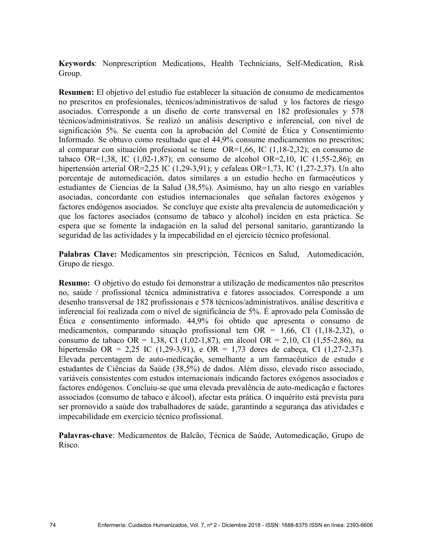**Keywords**: Nonprescription Medications, Health Technicians, Self-Medication, Risk Group.

**Resumen:** El objetivo del estudio fue establecer la situación de consumo de medicamentos no prescritos en profesionales, técnicos/administrativos de salud y los factores de riesgo asociados. Corresponde a un diseño de corte transversal en 182 profesionales y 578 técnicos/administrativos. Se realizó un análisis descriptivo e inferencial, con nivel de significación 5%. Se cuenta con la aprobación del Comité de Ética y Consentimiento Informado. Se obtuvo como resultado que el 44,9% consume medicamentos no prescritos; al comparar con situación profesional se tiene OR=1,66, IC (1,18-2,32); en consumo de tabaco OR=1,38, IC (1,02-1,87); en consumo de alcohol OR=2,10, IC (1,55-2,86); en hipertensión arterial OR=2,25 IC (1,29-3,91); y cefaleas OR=1,73, IC (1,27-2,37). Un alto porcentaje de automedicación, datos similares a un estudio hecho en farmacéuticos y estudiantes de Ciencias de la Salud (38,5%). Asimismo, hay un alto riesgo en variables asociadas, concordante con estudios internacionales que señalan factores exógenos y factores endógenos asociados. Se concluye que existe alta prevalencia de automedicación y que los factores asociados (consumo de tabaco y alcohol) inciden en esta práctica. Se espera que se fomente la indagación en la salud del personal sanitario, garantizando la seguridad de las actividades y la impecabilidad en el ejercicio técnico profesional.

**Palabras Clave:** Medicamentos sin prescripción, Técnicos en Salud, Automedicación, Grupo de riesgo.

**Resumo:** O objetivo do estudo foi demonstrar a utilização de medicamentos não prescritos no, saúde / profissional técnica administrativa e fatores associados. Corresponde a um desenho transversal de 182 profissionais e 578 técnicos/administrativos. análise descritiva e inferencial foi realizada com o nível de significância de 5%. É aprovado pela Comissão de Ética e consentimento informado. 44,9% foi obtido que apresenta o consumo de medicamentos, comparando situação profissional tem OR = 1,66, CI (1,18-2,32), o consumo de tabaco OR = 1,38, CI (1,02-1,87), em álcool OR = 2,10, CI (1,55-2,86), na hipertensão OR = 2,25 IC (1,29-3,91), e OR = 1,73 dores de cabeça, CI (1,27-2,37). Elevada percentagem de auto-medicação, semelhante a um farmacêutico de estudo e estudantes de Ciências da Saúde (38,5%) de dados. Além disso, elevado risco associado, variáveis consistentes com estudos internacionais indicando factores exógenos associados e factores endógenos. Concluiu-se que uma elevada prevalência de auto-medicação e factores associados (consumo de tabaco e álcool), afectar esta prática. O inquérito está prevista para ser promovido a saúde dos trabalhadores de saúde, garantindo a segurança das atividades e impecabilidade em exercício técnico profissional.

**Palavras-chave**: Medicamentos de Balcão, Técnica de Saúde, Automedicação, Grupo de Risco.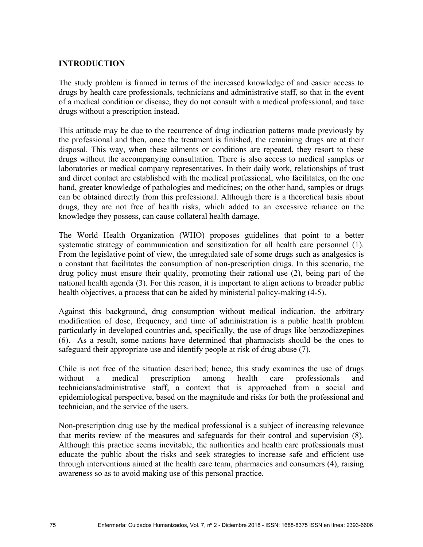## **INTRODUCTION**

The study problem is framed in terms of the increased knowledge of and easier access to drugs by health care professionals, technicians and administrative staff, so that in the event of a medical condition or disease, they do not consult with a medical professional, and take drugs without a prescription instead.

This attitude may be due to the recurrence of drug indication patterns made previously by the professional and then, once the treatment is finished, the remaining drugs are at their disposal. This way, when these ailments or conditions are repeated, they resort to these drugs without the accompanying consultation. There is also access to medical samples or laboratories or medical company representatives. In their daily work, relationships of trust and direct contact are established with the medical professional, who facilitates, on the one hand, greater knowledge of pathologies and medicines; on the other hand, samples or drugs can be obtained directly from this professional. Although there is a theoretical basis about drugs, they are not free of health risks, which added to an excessive reliance on the knowledge they possess, can cause collateral health damage.

The World Health Organization (WHO) proposes guidelines that point to a better systematic strategy of communication and sensitization for all health care personnel (1). From the legislative point of view, the unregulated sale of some drugs such as analgesics is a constant that facilitates the consumption of non-prescription drugs. In this scenario, the drug policy must ensure their quality, promoting their rational use (2), being part of the national health agenda (3). For this reason, it is important to align actions to broader public health objectives, a process that can be aided by ministerial policy-making (4-5).

Against this background, drug consumption without medical indication, the arbitrary modification of dose, frequency, and time of administration is a public health problem particularly in developed countries and, specifically, the use of drugs like benzodiazepines (6). As a result, some nations have determined that pharmacists should be the ones to safeguard their appropriate use and identify people at risk of drug abuse (7).

Chile is not free of the situation described; hence, this study examines the use of drugs without a medical prescription among health care professionals and technicians/administrative staff, a context that is approached from a social and epidemiological perspective, based on the magnitude and risks for both the professional and technician, and the service of the users.

Non-prescription drug use by the medical professional is a subject of increasing relevance that merits review of the measures and safeguards for their control and supervision (8). Although this practice seems inevitable, the authorities and health care professionals must educate the public about the risks and seek strategies to increase safe and efficient use through interventions aimed at the health care team, pharmacies and consumers (4), raising awareness so as to avoid making use of this personal practice.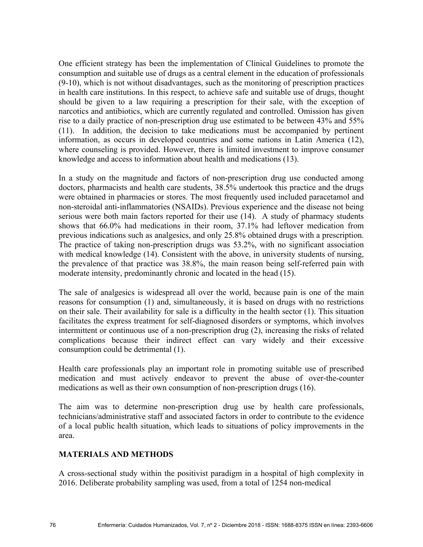One efficient strategy has been the implementation of Clinical Guidelines to promote the consumption and suitable use of drugs as a central element in the education of professionals (9-10), which is not without disadvantages, such as the monitoring of prescription practices in health care institutions. In this respect, to achieve safe and suitable use of drugs, thought should be given to a law requiring a prescription for their sale, with the exception of narcotics and antibiotics, which are currently regulated and controlled. Omission has given rise to a daily practice of non-prescription drug use estimated to be between 43% and 55% (11). In addition, the decision to take medications must be accompanied by pertinent information, as occurs in developed countries and some nations in Latin America (12), where counseling is provided. However, there is limited investment to improve consumer knowledge and access to information about health and medications (13).

In a study on the magnitude and factors of non-prescription drug use conducted among doctors, pharmacists and health care students, 38.5% undertook this practice and the drugs were obtained in pharmacies or stores. The most frequently used included paracetamol and non-steroidal anti-inflammatories (NSAIDs). Previous experience and the disease not being serious were both main factors reported for their use (14). A study of pharmacy students shows that 66.0% had medications in their room, 37.1% had leftover medication from previous indications such as analgesics, and only 25.8% obtained drugs with a prescription. The practice of taking non-prescription drugs was 53.2%, with no significant association with medical knowledge (14). Consistent with the above, in university students of nursing, the prevalence of that practice was 38.8%, the main reason being self-referred pain with moderate intensity, predominantly chronic and located in the head (15).

The sale of analgesics is widespread all over the world, because pain is one of the main reasons for consumption (1) and, simultaneously, it is based on drugs with no restrictions on their sale. Their availability for sale is a difficulty in the health sector (1). This situation facilitates the express treatment for self-diagnosed disorders or symptoms, which involves intermittent or continuous use of a non-prescription drug (2), increasing the risks of related complications because their indirect effect can vary widely and their excessive consumption could be detrimental (1).

Health care professionals play an important role in promoting suitable use of prescribed medication and must actively endeavor to prevent the abuse of over-the-counter medications as well as their own consumption of non-prescription drugs (16).

The aim was to determine non-prescription drug use by health care professionals, technicians/administrative staff and associated factors in order to contribute to the evidence of a local public health situation, which leads to situations of policy improvements in the area.

# **MATERIALS AND METHODS**

A cross-sectional study within the positivist paradigm in a hospital of high complexity in 2016. Deliberate probability sampling was used, from a total of 1254 non-medical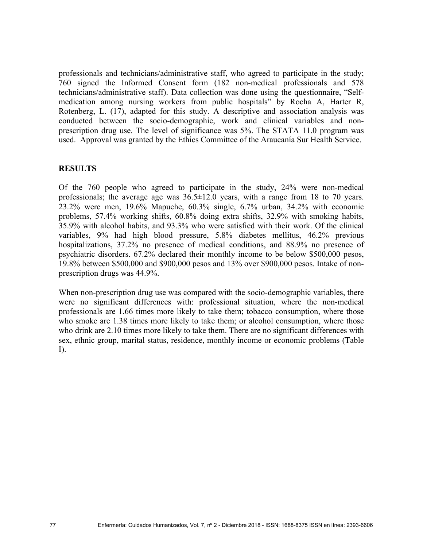professionals and technicians/administrative staff, who agreed to participate in the study; 760 signed the Informed Consent form (182 non-medical professionals and 578 technicians/administrative staff). Data collection was done using the questionnaire, "Selfmedication among nursing workers from public hospitals" by Rocha A, Harter R, Rotenberg, L. (17), adapted for this study. A descriptive and association analysis was conducted between the socio-demographic, work and clinical variables and nonprescription drug use. The level of significance was 5%. The STATA 11.0 program was used. Approval was granted by the Ethics Committee of the Araucanía Sur Health Service.

### **RESULTS**

Of the 760 people who agreed to participate in the study, 24% were non-medical professionals; the average age was 36.5±12.0 years, with a range from 18 to 70 years. 23.2% were men, 19.6% Mapuche, 60.3% single, 6.7% urban, 34.2% with economic problems, 57.4% working shifts, 60.8% doing extra shifts, 32.9% with smoking habits, 35.9% with alcohol habits, and 93.3% who were satisfied with their work. Of the clinical variables, 9% had high blood pressure, 5.8% diabetes mellitus, 46.2% previous hospitalizations, 37.2% no presence of medical conditions, and 88.9% no presence of psychiatric disorders. 67.2% declared their monthly income to be below \$500,000 pesos, 19.8% between \$500,000 and \$900,000 pesos and 13% over \$900,000 pesos. Intake of nonprescription drugs was 44.9%.

When non-prescription drug use was compared with the socio-demographic variables, there were no significant differences with: professional situation, where the non-medical professionals are 1.66 times more likely to take them; tobacco consumption, where those who smoke are 1.38 times more likely to take them; or alcohol consumption, where those who drink are 2.10 times more likely to take them. There are no significant differences with sex, ethnic group, marital status, residence, monthly income or economic problems (Table I).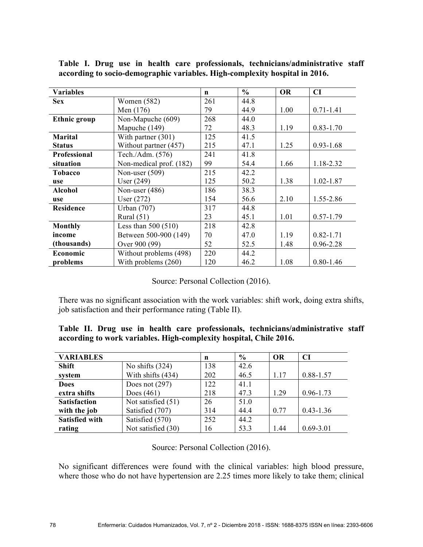| <b>Variables</b>    |                         | n   | $\frac{0}{0}$ | <b>OR</b> | <b>CI</b>     |
|---------------------|-------------------------|-----|---------------|-----------|---------------|
| <b>Sex</b>          | Women (582)             | 261 | 44.8          |           |               |
|                     | Men (176)               | 79  | 44.9          | 1.00      | $0.71 - 1.41$ |
| <b>Ethnic group</b> | Non-Mapuche (609)       | 268 | 44.0          |           |               |
|                     | Mapuche (149)           | 72  | 48.3          | 1.19      | $0.83 - 1.70$ |
| <b>Marital</b>      | With partner $(301)$    | 125 | 41.5          |           |               |
| <b>Status</b>       | Without partner (457)   | 215 | 47.1          | 1.25      | $0.93 - 1.68$ |
| Professional        | Tech./Adm. (576)        | 241 | 41.8          |           |               |
| situation           | Non-medical prof. (182) | 99  | 54.4          | 1.66      | 1.18-2.32     |
| <b>Tobacco</b>      | Non-user $(509)$        | 215 | 42.2          |           |               |
| use                 | User $(249)$            | 125 | 50.2          | 1.38      | 1.02-1.87     |
| <b>Alcohol</b>      | Non-user $(486)$        | 186 | 38.3          |           |               |
| use                 | User $(272)$            | 154 | 56.6          | 2.10      | 1.55-2.86     |
| <b>Residence</b>    | <b>Urban</b> (707)      | 317 | 44.8          |           |               |
|                     | Rural $(51)$            | 23  | 45.1          | 1.01      | $0.57 - 1.79$ |
| <b>Monthly</b>      | Less than $500(510)$    | 218 | 42.8          |           |               |
| income              | Between 500-900 (149)   | 70  | 47.0          | 1.19      | $0.82 - 1.71$ |
| (thousands)         | Over 900 (99)           | 52  | 52.5          | 1.48      | 0.96-2.28     |
| Economic            | Without problems (498)  | 220 | 44.2          |           |               |
| problems            | With problems (260)     | 120 | 46.2          | 1.08      | $0.80 - 1.46$ |

**Table I. Drug use in health care professionals, technicians/administrative staff according to socio-demographic variables. High-complexity hospital in 2016.**

Source: Personal Collection (2016).

There was no significant association with the work variables: shift work, doing extra shifts, job satisfaction and their performance rating (Table II).

|  |  |  |  | Table II. Drug use in health care professionals, technicians/administrative staff |  |
|--|--|--|--|-----------------------------------------------------------------------------------|--|
|  |  |  |  | according to work variables. High-complexity hospital, Chile 2016.                |  |

| <b>VARIABLES</b>      |                    | n   | $\frac{6}{9}$ | <b>OR</b> | CI            |
|-----------------------|--------------------|-----|---------------|-----------|---------------|
| <b>Shift</b>          | No shifts $(324)$  | 138 | 42.6          |           |               |
| system                | With shifts (434)  | 202 | 46.5          | 1.17      | 0.88-1.57     |
| <b>Does</b>           | Does not $(297)$   | 122 | 41.1          |           |               |
| extra shifts          | Does $(461)$       | 218 | 47.3          | 1.29      | $0.96 - 1.73$ |
| <b>Satisfaction</b>   | Not satisfied (51) | 26  | 51.0          |           |               |
| with the job          | Satisfied (707)    | 314 | 44.4          | 0.77      | $0.43 - 1.36$ |
| <b>Satisfied with</b> | Satisfied (570)    | 252 | 44.2          |           |               |
| rating                | Not satisfied (30) | 16  | 53.3          | 1.44      | $0.69 - 3.01$ |

Source: Personal Collection (2016).

No significant differences were found with the clinical variables: high blood pressure, where those who do not have hypertension are 2.25 times more likely to take them; clinical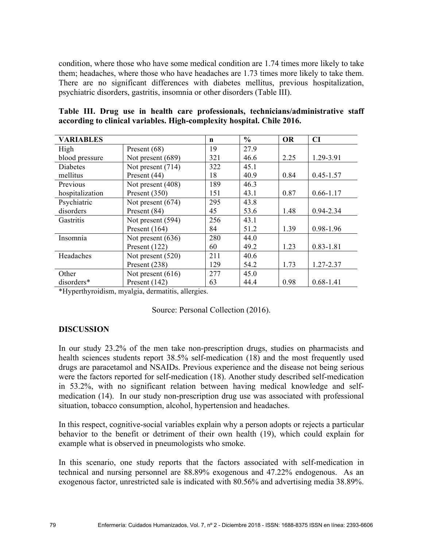condition, where those who have some medical condition are 1.74 times more likely to take them; headaches, where those who have headaches are 1.73 times more likely to take them. There are no significant differences with diabetes mellitus, previous hospitalization, psychiatric disorders, gastritis, insomnia or other disorders (Table III).

| Table III. Drug use in health care professionals, technicians/administrative staff |  |
|------------------------------------------------------------------------------------|--|
| according to clinical variables. High-complexity hospital. Chile 2016.             |  |

| <b>VARIABLES</b> |                     | n   | $\frac{0}{0}$ | <b>OR</b> | CI            |
|------------------|---------------------|-----|---------------|-----------|---------------|
| High             | Present $(68)$      | 19  | 27.9          |           |               |
| blood pressure   | Not present (689)   | 321 | 46.6          | 2.25      | 1.29-3.91     |
| <b>Diabetes</b>  | Not present (714)   | 322 | 45.1          |           |               |
| mellitus         | Present (44)        | 18  | 40.9          | 0.84      | $0.45 - 1.57$ |
| Previous         | Not present (408)   | 189 | 46.3          |           |               |
| hospitalization  | Present (350)       | 151 | 43.1          | 0.87      | $0.66 - 1.17$ |
| Psychiatric      | Not present $(674)$ | 295 | 43.8          |           |               |
| disorders        | Present (84)        | 45  | 53.6          | 1.48      | 0.94-2.34     |
| Gastritis        | Not present (594)   | 256 | 43.1          |           |               |
|                  | Present (164)       | 84  | 51.2          | 1.39      | 0.98-1.96     |
| Insomnia         | Not present $(636)$ | 280 | 44.0          |           |               |
|                  | Present (122)       | 60  | 49.2          | 1.23      | $0.83 - 1.81$ |
| Headaches        | Not present $(520)$ | 211 | 40.6          |           |               |
|                  | Present (238)       | 129 | 54.2          | 1.73      | 1.27-2.37     |
| Other            | Not present $(616)$ | 277 | 45.0          |           |               |
| disorders*       | Present (142)       | 63  | 44.4          | 0.98      | $0.68 - 1.41$ |

\*Hyperthyroidism, myalgia, dermatitis, allergies.

| Source: Personal Collection (2016). |
|-------------------------------------|
|-------------------------------------|

## **DISCUSSION**

In our study 23.2% of the men take non-prescription drugs, studies on pharmacists and health sciences students report 38.5% self-medication (18) and the most frequently used drugs are paracetamol and NSAIDs. Previous experience and the disease not being serious were the factors reported for self-medication (18). Another study described self-medication in 53.2%, with no significant relation between having medical knowledge and selfmedication (14). In our study non-prescription drug use was associated with professional situation, tobacco consumption, alcohol, hypertension and headaches.

In this respect, cognitive-social variables explain why a person adopts or rejects a particular behavior to the benefit or detriment of their own health (19), which could explain for example what is observed in pneumologists who smoke.

In this scenario, one study reports that the factors associated with self-medication in technical and nursing personnel are 88.89% exogenous and 47.22% endogenous. As an exogenous factor, unrestricted sale is indicated with 80.56% and advertising media 38.89%.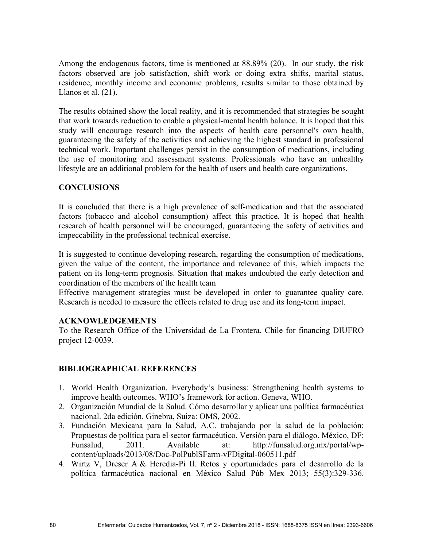Among the endogenous factors, time is mentioned at 88.89% (20). In our study, the risk factors observed are job satisfaction, shift work or doing extra shifts, marital status, residence, monthly income and economic problems, results similar to those obtained by Llanos et al. (21).

The results obtained show the local reality, and it is recommended that strategies be sought that work towards reduction to enable a physical-mental health balance. It is hoped that this study will encourage research into the aspects of health care personnel's own health, guaranteeing the safety of the activities and achieving the highest standard in professional technical work. Important challenges persist in the consumption of medications, including the use of monitoring and assessment systems. Professionals who have an unhealthy lifestyle are an additional problem for the health of users and health care organizations.

# **CONCLUSIONS**

It is concluded that there is a high prevalence of self-medication and that the associated factors (tobacco and alcohol consumption) affect this practice. It is hoped that health research of health personnel will be encouraged, guaranteeing the safety of activities and impeccability in the professional technical exercise.

It is suggested to continue developing research, regarding the consumption of medications, given the value of the content, the importance and relevance of this, which impacts the patient on its long-term prognosis. Situation that makes undoubted the early detection and coordination of the members of the health team

Effective management strategies must be developed in order to guarantee quality care. Research is needed to measure the effects related to drug use and its long-term impact.

## **ACKNOWLEDGEMENTS**

To the Research Office of the Universidad de La Frontera, Chile for financing DIUFRO project 12-0039.

# **BIBLIOGRAPHICAL REFERENCES**

- 1. World Health Organization. Everybody's business: Strengthening health systems to improve health outcomes. WHO's framework for action. Geneva, WHO.
- 2. Organización Mundial de la Salud. Cómo desarrollar y aplicar una política farmacéutica nacional. 2da edición. Ginebra, Suiza: OMS, 2002.
- 3. Fundación Mexicana para la Salud, A.C. trabajando por la salud de la población: Propuestas de política para el sector farmacéutico. Versión para el diálogo. México, DF: Funsalud, 2011. Available at: http://funsalud.org.mx/portal/wpcontent/uploads/2013/08/Doc-PolPublSFarm-vFDigital-060511.pdf
- 4. Wirtz V, Dreser A & Heredia-Pi Il. Retos y oportunidades para el desarrollo de la política farmacéutica nacional en México Salud Púb Mex 2013; 55(3):329-336.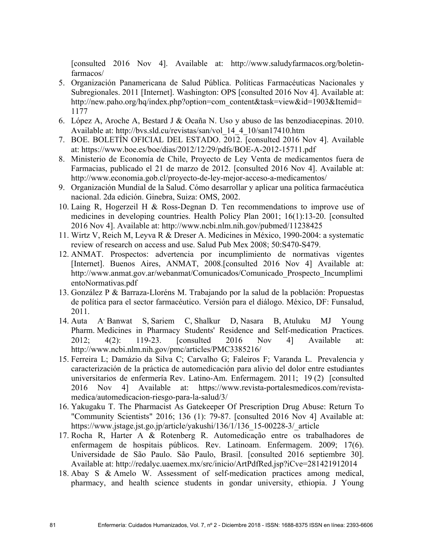[consulted 2016 Nov 4]. Available at: http://www.saludyfarmacos.org/boletinfarmacos/

- 5. Organización Panamericana de Salud Pública. Políticas Farmacéuticas Nacionales y Subregionales. 2011 [Internet]. Washington: OPS [consulted 2016 Nov 4]. Available at: http://new.paho.org/hq/index.php?option=com\_content&task=view&id=1903&Itemid= 1177
- 6. López A, Aroche A, Bestard J & Ocaña N. Uso y abuso de las benzodiacepinas. 2010. Available at: http://bvs.sld.cu/revistas/san/vol\_14\_4\_10/san17410.htm
- 7. BOE. BOLETÍN OFICIAL DEL ESTADO. 2012. [consulted 2016 Nov 4]. Available at: https://www.boe.es/boe/dias/2012/12/29/pdfs/BOE-A-2012-15711.pdf
- 8. Ministerio de Economía de Chile, Proyecto de Ley Venta de medicamentos fuera de Farmacias, publicado el 21 de marzo de 2012. [consulted 2016 Nov 4]. Available at: http://www.economia.gob.cl/proyecto-de-ley-mejor-acceso-a-medicamentos/
- 9. Organización Mundial de la Salud. Cómo desarrollar y aplicar una política farmacéutica nacional. 2da edición. Ginebra, Suiza: OMS, 2002.
- 10. Laing R, Hogerzeil H & Ross-Degnan D. Ten recommendations to improve use of medicines in developing countries. Health Policy Plan 2001; 16(1):13-20. [consulted 2016 Nov 4]. Available at: http://www.ncbi.nlm.nih.gov/pubmed/11238425
- 11. Wirtz V, Reich M, Leyva R & Dreser A. Medicines in México, 1990-2004: a systematic review of research on access and use. Salud Pub Mex 2008; 50:S470-S479.
- 12. ANMAT. Prospectos: advertencia por incumplimiento de normativas vigentes [Internet]. Buenos Aires, ANMAT, 2008.[consulted 2016 Nov 4] Available at: http://www.anmat.gov.ar/webanmat/Comunicados/Comunicado\_Prospecto\_Incumplimi entoNormativas.pdf
- 13. González P & Barraza-Lloréns M. Trabajando por la salud de la población: Propuestas de política para el sector farmacéutico. Versión para el diálogo. México, DF: Funsalud, 2011.
- $14$  Auta Banwat S, Sariem C, Shalkur D, Nasara B, Atuluku MJ Young Pharm. Medicines in Pharmacy Students' Residence and Self-medication Practices. 2012; 4(2): 119-23. [consulted 2016 Nov 4] Available at: http://www.ncbi.nlm.nih.gov/pmc/articles/PMC3385216/
- 15. Ferreira L; Damázio da Silva C; Carvalho G; Faleiros F; Varanda L. Prevalencia y caracterización de la práctica de automedicación para alivio del dolor entre estudiantes universitarios de enfermería Rev. Latino-Am. Enfermagem. 2011; 19 (2) [consulted 2016 Nov 4] Available at: https://www.revista-portalesmedicos.com/revistamedica/automedicacion-riesgo-para-la-salud/3/
- 16. Yakugaku T. The Pharmacist As Gatekeeper Of Prescription Drug Abuse: Return To "Community Scientists" 2016; 136 (1): 79-87. [consulted 2016 Nov 4] Available at: https://www.jstage.jst.go.jp/article/yakushi/136/1/136\_15-00228-3/\_article
- 17. Rocha R, Harter A & Rotenberg R. Automedicação entre os trabalhadores de enfermagem de hospitais públicos. Rev. Latinoam. Enfermagem. 2009; 17(6). Universidade de São Paulo. São Paulo, Brasil. [consulted 2016 septiembre 30]. Available at: http://redalyc.uaemex.mx/src/inicio/ArtPdfRed.jsp?iCve=281421912014
- 18. Abay S & Amelo W. Assessment of self-medication practices among medical, pharmacy, and health science students in gondar university, ethiopia. J Young